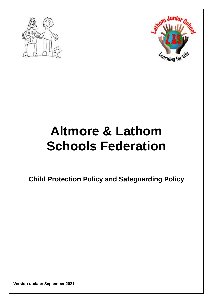



# **Altmore & Lathom Schools Federation**

**Child Protection Policy and Safeguarding Policy**

 **Version update: September 2021**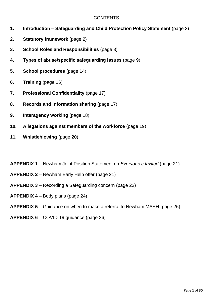## **CONTENTS**

- **1. Introduction – Safeguarding and Child Protection Policy Statement** (page 2)
- **2. Statutory framework** (page 2)
- **3. School Roles and Responsibilities** (page 3)
- **4. Types of abuse/specific safeguarding issues** (page 9)
- **5. School procedures** (page 14)
- **6. Training** (page 16)
- **7. Professional Confidentiality** (page 17)
- **8. Records and Information sharing** (page 17)
- **9. Interagency working** (page 18)
- **10. Allegations against members of the workforce** (page 19)
- **11. Whistleblowing** (page 20)
- **APPENDIX 1**  Newham Joint Position Statement on *Everyone's Invited* (page 21)
- **APPENDIX 2** Newham Early Help offer (page 21)
- **APPENDIX 3**  Recording a Safeguarding concern (page 22)
- **APPENDIX 4** Body plans (page 24)
- **APPENDIX 5** Guidance on when to make a referral to Newham MASH (page 26)
- **APPENDIX 6** COVID-19 guidance (page 26)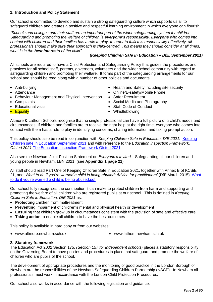#### **1. Introduction and Policy Statement**

Our school is committed to develop and sustain a strong safeguarding culture which supports us all to safeguard children and creates a positive and respectful learning environment in which everyone can flourish.

*"Schools and colleges and their staff are an important part of the wider safeguarding system for children. Safeguarding and promoting the welfare of children is everyone's responsibility. Everyone who comes into contact with children and their families has a role to play. In order to fulfil this responsibility effectively, all professionals should make sure their approach is child-centred. This means they should consider at all times, what is in the best interests of the child".*

#### *(Keeping Children Safe in Education – DfE, September 2021)*

All schools are required to have a Child Protection and Safeguarding Policy that guides the procedures and practices for all school staff, parents, governors, volunteers and the wider school community with regard to safeguarding children and promoting their welfare. It forms part of the safeguarding arrangements for our school and should be read along with a number of other policies and documents:

- Anti-bullying
- Attendance
- Behaviour Management and Physical Intervention
- Complaints
- Educational visits
- Equality
- Health and Safety including site security
- Online/E-safety/Mobile Phone
- Safer Recruitment
- Social Media and Photography
- Staff Code of Conduct
- Whistleblowing

Altmore & Lathom Schools recognise that no single professional can have a full picture of a child's needs and circumstances. If children and families are to receive the right help at the right time, everyone who comes into contact with them has a role to play in identifying concerns, sharing information and taking prompt action.

This policy should also be read in conjunction with *Keeping Children Safe in Education, DfE 2021.* [Keeping](https://assets.publishing.service.gov.uk/government/uploads/system/uploads/attachment_data/file/1021914/KCSIE_2021_September_guidance.pdf)  [Children safe in Education September 2021](https://assets.publishing.service.gov.uk/government/uploads/system/uploads/attachment_data/file/1021914/KCSIE_2021_September_guidance.pdf) and with reference to the *Education inspection Framework, Ofsted 2021* [The Education Inspection Framework Ofsted 2021](https://www.gov.uk/government/publications/education-inspection-framework/education-inspection-framework)

Also see the Newham Joint Position Statement on *Everyone's Invited* – Safeguarding all our children and young people in Newham, LBN 2021. (see **Appendix 1 page 21**)

All staff should read Part One of Keeping Children Safe in Education 2021, together with Annex B of KCSiE 21, and '*What to do if you're worried a child is being abused: Advice for practitioners'* (DfE March 2015). [What](https://assets.publishing.service.gov.uk/government/uploads/system/uploads/attachment_data/file/419604/What_to_do_if_you_re_worried_a_child_is_being_abused.pdf)  [to do if you're worried a child is being abused.pdf](https://assets.publishing.service.gov.uk/government/uploads/system/uploads/attachment_data/file/419604/What_to_do_if_you_re_worried_a_child_is_being_abused.pdf)

Our school fully recognises the contribution it can make to protect children from harm and supporting and promoting the welfare of all children who are registered pupils at our school. This is defined in *Keeping Children Safe in Education, DfE 2021* as:

- **Protecting** children from maltreatment
- **Preventing** impairment of children's mental and physical health or development
- **Ensuring** that children grow up in circumstances consistent with the provision of safe and effective care
- **Taking action** to enable all children to have the best outcomes

This policy is available in hard copy or from our websites:

- www.altmore.newham.sch.uk www.lathom.newham.sch.uk
- 

#### **2. Statutory framework**

The Education Act 2002 Section 175, *(Section 157 for Independent schools)* places a statutory responsibility on the Governing Board to have policies and procedures in place that safeguard and promote the welfare of children who are pupils of the school.

The development of appropriate procedures and the monitoring of good practice in the London Borough of Newham are the responsibilities of the Newham Safeguarding Children Partnership (NSCP). In Newham all professionals must work in accordance with the London Child Protection Procedures.

Our school also works in accordance with the following legislation and guidance: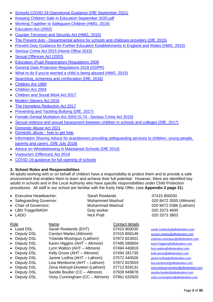- [Schools COVID-19 Operational Guidance \(DfE September 2021\)](https://www.gov.uk/government/publications/actions-for-schools-during-the-coronavirus-outbreak/schools-covid-19-operational-guidance)
- [Keeping Children Safe in Education September](https://assets.publishing.service.gov.uk/government/uploads/system/uploads/attachment_data/file/912592/Keeping_children_safe_in_education_Sep_2020.pdf) 2020.pdf
- [Working Together to Safeguard Children \(HMG, 2018\)](http://www.gov.uk/government/publications/working-together-to-safeguard-children--2)
- [Education Act \(2002\)](http://www.legislation.gov.uk/ukpga/2002/32/contents)
- [Counter-Terrorism and Security Act \(HMG, 2015\)](http://www.legislation.gov.uk/ukpga/2015/6/contents)
- The Prevent duty [Departmental advice for schools and childcare providers \(DfE 2015\)](https://www.gov.uk/government/publications/protecting-children-from-radicalisation-the-prevent-duty)
- [Prevent Duty Guidance for Further Education Establishments in England and Wales \(HMG, 2015\)](https://www.gov.uk/government/publications/prevent-duty-guidance)
- [Serious Crime Act 2015 \(Home Office 2015\)](https://www.gov.uk/government/collections/serious-crime-bill)
- [Sexual Offences Act \(2003\)](http://www.legislation.gov.uk/ukpga/2003/42/contents)
- [Education \(Pupil Registration\) Regulations 2006](http://www.legislation.gov.uk/uksi/2006/1751/regulation/8/made)
- [General Data Protection Regulations 2018 \(GDPR\)](https://www.gov.uk/government/publications/guide-to-the-general-data-protection-regulation)
- [What to do if you're worried a child is being abused \(HMG, 2015\)](https://assets.publishing.service.gov.uk/government/uploads/system/uploads/attachment_data/file/419604/What_to_do_if_you_re_worried_a_child_is_being_abused.pdf)
- [Searching, screening and confiscation \(DfE, 2018\)](https://assets.publishing.service.gov.uk/government/uploads/system/uploads/attachment_data/file/674416/Searching_screening_and_confiscation.pdf)
- [Children Act 1989](http://www.legislation.gov.uk/ukpga/1989/41/contents)
- [Children Act 2004](http://www.legislation.gov.uk/ukpga/2004/31/contents)
- [Children and Social Work Act 2017](http://www.legislation.gov.uk/ukpga/2017/16/contents)
- [Modern Slavery Act 2015](http://www.legislation.gov.uk/ukpga/2015/30/contents/enacted)
- [The Homeless Reduction Act 2017](http://www.legislation.gov.uk/ukpga/2017/13/contents/enacted)
- [Preventing and Tackling Bullying \(DfE, 2017\)](https://assets.publishing.service.gov.uk/government/uploads/system/uploads/attachment_data/file/623895/Preventing_and_tackling_bullying_advice.pdf)
- [Female Genital Mutilation Act 2003 \(S.74 -](https://www.legislation.gov.uk/ukpga/2003/31/contents) Serious Crime Act 2015)
- [Sexual violence and sexual harassment between children in schools and colleges \(DfE, 2017\)](https://assets.publishing.service.gov.uk/government/uploads/system/uploads/attachment_data/file/719902/Sexual_violence_and_sexual_harassment_between_children_in_schools_and_colleges.pdf)
- [Domestic Abuse Act 2021](https://www.legislation.gov.uk/ukpga/2021/17/contents)
- [Domestic abuse -](https://www.gov.uk/guidance/domestic-abuse-how-to-get-help) how to get help
- Information Sharing Advice for practitioners providing safeguarding services to children, young people, [parents and carers. \(DfE July 2018\)](https://assets.publishing.service.gov.uk/government/uploads/system/uploads/attachment_data/file/721581/Information_sharing_advice_practitioners_safeguarding_services.pdf)
- [Advice on Whistleblowing in Maintained Schools \(DfE 2014\)](https://www.gov.uk/guidance/whistleblowing-procedure-for-maintained-schools)
- [Voyeurism \(Offences\) Act 2019](https://www.legislation.gov.uk/ukpga/2019/2/contents/enacted)
- [COVID-19 guidance for full opening of schools](https://www.gov.uk/government/publications/actions-for-schools-during-the-coronavirus-outbreak/guidance-for-full-opening-schools%23section-1-public-health-advice-to-minimise-coronavirus-covid-19-risks)

#### **3. School Roles and Responsibilities**

All adults working with or on behalf of children have a responsibility to protect them and to provide a safe environment that enables them to learn and achieve their full potential. However, there are identified key adults in schools and in the Local Authority who have specific responsibilities under Child Protection procedures. All staff in our school are familiar with the Early Help Offer, (see **Appendix 2 page 21**).

- Executive Headteacher: Sarah Rowlands 07415 800030
- Safeguarding Governor: Muhammed Mashud 020 8472 3555 (Altmore)
- 
- LBN Triage/MASH Duty worker 020 3373 4600
- 

## Role **Name** Name **Name Contact details**

- Lead DSL Sarah Rowlands (EHT) 07415 800030 [sarah.rowlands@alfederation.com](mailto:sarah.rowlands@alfederation.com) • Deputy DSL Carolyn Marles (Altmore) 07415 858146 [carolyn.marles@alfederation.com](mailto:carolyn.marles@alfederation.com) • Deputy DSL Yolanda Musinguzi (Lathom) 07872 823501 [yolanda.musinguzi@alfederation.com](mailto:yolanda.musinguzi@alfederation.com) • Deputy DSL Karen Higgins (AHT – Altmore) 07495 585604 [karen.higgins@alfederation.com](mailto:karen.higgins@alfederation.com) • Deputy DSL Lynn Walton (AHT – Altmore) 07494 440819 [lynn.walton@alfederation.com](mailto:lynn.walton@alfederation.com) • Deputy DSL Kelly Grove (AHT – Altmore) 07494 281735 [kelly.grove@alfederation.com](mailto:kelly.grove@alfederation.com)
- Deputy DSL Janine Lodhia (AHT Lathom) 07572 440500 *[janine.lodhia@alfederation.com](mailto:janine.lodhia@alfederation.com)*
- Deputy DSL Lisa Wenborne (AHT Lathom) 07872 823503 [lisa.wenborne@alfederation.com](mailto:lisa.wenborne@alfederation.com)
- 
- Deputy DSL Sandie Boulter (CC Altmore) 07939 949878 [sandra.boulter@alfederation.com](mailto:sandra.boulter@alfederation.com)
- Deputy DSL Vicky Cunningham (CC Altmore) 07961 632920 [vicky.cunningham@alfederation.com](mailto:vicky.cunningham@alfederation.com)

• LADO Nick Pratt 020 3373 3803

• Chair of Governors: Muhammad Mashud 020 8472 0386 (Lathom)

• Deputy DSL Zena Holroyd-Doveton (Lathom) 07712 829131 [zena.holroyd-doveton@alfederation.com](mailto:zena.holroyd-doveton@alfederation.com)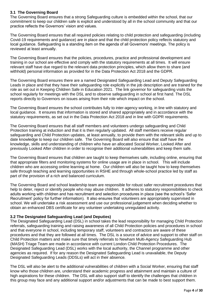#### **3.1 The Governing Board**

The Governing Board ensures that a strong Safeguarding culture is embedded within the school, that our commitment to keep our children safe is explicit and understood by all in the school community and that our practice reflects the Governors' vision and values.

The Governing Board ensures that all required policies relating to child protection and safeguarding (including Covid-19 requirements and guidance) are in place and that the child protection policy reflects statutory and local guidance. Safeguarding is a standing item on the agenda of all Governors' meetings. The policy is reviewed at least annually.

The Governing Board ensures that the policies, procedures, practice and professional development and training in our school are effective and comply with the statutory requirements at all times. It will ensure relevant staff have due regard to the relevant data protection principles, which allow them to share (and withhold) personal information as provided for in the Data Protection Act 2018 and the GDPR.

The Governing Board ensures there are a named Designated Safeguarding Lead and Deputy Safeguarding Leads in place and that they have their safeguarding role explicitly in the job description and are trained for the role as set out in Keeping Children Safe in Education 2021. The link governor for safeguarding visits the school regularly for meetings with the DSL and to observe safeguarding in school at first hand. The DSL reports directly to Governors on issues arising from their role which impact on the school.

The Governing Board ensures the school contributes fully to inter-agency working, in line with statutory and local guidance. It ensures that information is stored and shared appropriately and in accordance with the statutory requirements, as set out in the Data Protection Act 2018 and in line with GDPR requirements.

The Governing Board ensures that all staff members and volunteers undergo safeguarding and Child Protection training at induction and that it is then regularly updated. All staff members receive regular safeguarding and Child Protection updates, at least annually, to provide them with the relevant skills and up to date knowledge to keep our children safe. The Governing Board will also ensure that staff have the knowledge, skills and understanding of children who have an allocated Social Worker, Looked After and previously Looked After children in order to recognise their additional vulnerabilities and keep them safe.

The Governing Board ensures that children are taught to keep themselves safe, including online, ensuring that that appropriate filters and monitoring systems for online usage are in place in school. This will include children who are accessing online learning at home. Our children will also be taught how to keep themselves safe through teaching and learning opportunities in RSHE and through whole-school practice led by staff as part of the provision of a rich and balanced curriculum.

The Governing Board and school leadership team are responsible for robust safer recruitment procedures that help to deter, reject or identify people who may abuse children. It adheres to statutory responsibilities to check adults working with children and has recruitment and selection procedures in place (see the school's 'Safer Recruitment' policy for further information). It also ensures that volunteers are appropriately supervised in school. We will undertake a risk assessment and use our professional judgement when deciding whether to obtain an enhanced DBS certificate for any volunteer undertaking unregulated activity.

#### **3.2 The Designated Safeguarding Lead (and Deputies)**

The Designated Safeguarding Lead (DSL) in school takes the lead responsibility for managing Child Protection referrals, safeguarding training and raising awareness of all Child Protection policies and procedures in school and that everyone in school, including temporary staff, volunteers and contractors are aware of these procedures and that they are followed at all times. The DSL is a source of advice and support to other staff on Child Protection matters and make sure that timely referrals to Newham Multi-Agency Safeguarding Hub (MASH) Triage Team are made in accordance with current London Child Protection Procedures. The Designated Safeguarding Lead (DSL) works with the local authority, the Channel programme and other agencies as required. If for any reason the Designated Safeguarding Lead is unavailable, the Deputy Designated Safeguarding Leads (DDSLs) will act in their absence*.* 

The DSL will also be alert to the additional vulnerabilities of children with a Social Worker, ensuring that staff know who those children are, understand their academic progress and attainment and maintain a culture of high aspirations for these children. The DSL will also support staff to identify the challenges that children in this group may face and any additional support and/or adjustments that can be made to best support them.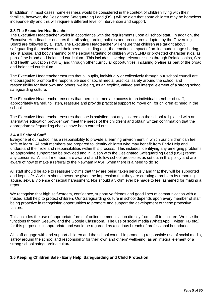In addition, in most cases homelessness would be considered in the context of children living with their families, however, the Designated Safeguarding Lead (DSL) will be alert that some children may be homeless independently and this will require a different level of intervention and support.

#### **3.3 The Executive Headteacher**

The Executive Headteacher works in accordance with the requirements upon all school staff. In addition, the Executive Headteacher ensures that all safeguarding policies and procedures adopted by the Governing Board are followed by all staff. The Executive Headteacher will ensure that children are taught about safeguarding themselves and their peers, including e.g., the emotional impact of on-line nude image sharing, sexist abuse, and body shaming or the sexual targeting of children with SEND or protected characteristics, as part of the broad and balanced curriculum. This includes covering relevant issues through Relationships, Sex and Health Education (RSHE) and through other curricular opportunities. including on-line as part of the broad and balanced curriculum.

The Executive Headteacher ensures that all pupils, individually or collectively through our school council are encouraged to promote the responsible use of social media, practical safety around the school and responsibility for their own and others' wellbeing, as an explicit, valued and integral element of a strong school safeguarding culture.

The Executive Headteacher ensures that there is immediate access to an individual member of staff, appropriately trained, to listen, reassure and provide practical support to move on, for children at need in the school.

The Executive Headteacher ensures that she is satisfied that any children on the school roll placed with an alternative education provider can meet the needs of the child(ren) and obtain written confirmation that the appropriate safeguarding checks have been carried out.

#### **3.4 All School Staff**

Everyone at our school has a responsibility to provide a learning environment in which our children can feel safe to learn. All staff members are prepared to identify children who may benefit from Early Help and understand their role and responsibilities within this process. This includes identifying any emerging problems so appropriate support can be provided and in liaison with the Designated Safeguarding Lead (DSL) report any concerns. All staff members are aware of and follow school processes as set out in this policy and are aware of how to make a referral to the Newham MASH when there is a need to do so.

All staff should be able to reassure victims that they are being taken seriously and that they will be supported and kept safe. A victim should never be given the impression that they are creating a problem by reporting abuse, sexual violence or sexual harassment. Nor should a victim ever be made to feel ashamed for making a report.

We recognise that high self-esteem, confidence, supportive friends and good lines of communication with a trusted adult help to protect children. Our Safeguarding culture in school depends upon every member of staff being proactive in recognising opportunities to promote and support the development of these protective factors.

This includes the use of appropriate forms of online communication directly from staff to children. We use the functions through SeeSaw and the Google Classroom. The use of social media (WhatsApp, Twitter, FB etc.) for this purpose is inappropriate and would be regarded as a serious breach of professional boundaries.

All staff engage with and support children and the school council in promoting responsible use of social media, safety around the school and responsibility for their own and others' wellbeing, as an integral element of a strong school safeguarding culture.

#### **3.5 Keeping Children Safe - Early Help, Safeguarding and Child Protection**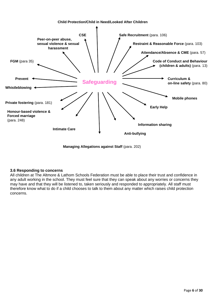#### **Child Protection/Child in Need/Looked After Children**



 **Managing Allegations against Staff** (para. 202)

#### **3.6 Responding to concerns**

All children at The Altmore & Lathom Schools Federation must be able to place their trust and confidence in any adult working in the school. They must feel sure that they can speak about any worries or concerns they may have and that they will be listened to, taken seriously and responded to appropriately. All staff must therefore know what to do if a child chooses to talk to them about any matter which raises child protection concerns.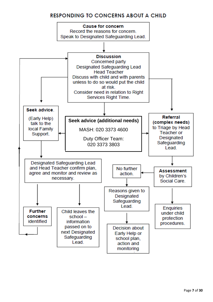## **RESPONDING TO CONCERNS ABOUT A CHILD**

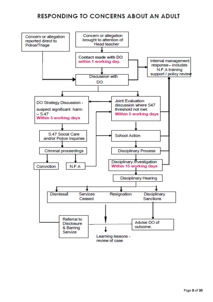# **RESPONDING TO CONCERNS ABOUT AN ADULT**

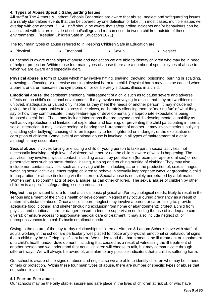#### **4. Types of Abuse/Specific Safeguarding Issues**

**All** staff at The Altmore & Lathom Schools Federation are aware that abuse, neglect and safeguarding issues are rarely standalone events that can be covered by one definition or label. In most cases, multiple issues will overlap with one another. "… All staff should be aware that safeguarding incidents and/or behaviours can be associated with factors outside of school/college and /or can occur between children outside of these environments". (Keeping Children Safe in Education 2021)

The four main types of abuse referred to in Keeping Children Safe in Education are:

• Physical • Emotional • Sexual • Neglect

Our school is aware of the signs of abuse and neglect so we are able to identify children who may be in need of help or protection. Within those four main types of abuse there are a number of specific types of abuse to which we are aware and especially alert.

**Physical abuse**: a form of abuse which may involve hitting, shaking, throwing, poisoning, burning or scalding, drowning, suffocating or otherwise causing physical harm to a child. Physical harm may also be caused when a parent or carer fabricates the symptoms of, or deliberately induces, illness in a child.

**Emotional abuse**: the persistent emotional maltreatment of a child such as to cause severe and adverse effects on the child's emotional development. It may involve conveying to a child that they are worthless or unloved, inadequate, or valued only insofar as they meet the needs of another person. It may include not giving the child opportunities to express their views, deliberately silencing them or 'making fun' of what they say or how they communicate. It may feature age or developmentally inappropriate expectations being imposed on children. These may include interactions that are beyond a child's developmental capability as well as overprotection and limitation of exploration and learning, or preventing the child participating in normal social interaction. It may involve seeing or hearing the ill-treatment of another. It may involve serious bullying (including cyberbullying), causing children frequently to feel frightened or in danger, or the exploitation or corruption of children. Some level of emotional abuse is involved in all types of maltreatment of a child, although it may occur alone.

**Sexual abuse**: involves forcing or enticing a child or young person to take part in sexual activities, not necessarily involving a high level of violence, whether or not the child is aware of what is happening. The activities may involve physical contact, including assault by penetration (for example rape or oral sex) or nonpenetrative acts such as masturbation, kissing, rubbing and touching outside of clothing. They may also include non-contact activities, such as involving children in looking at, or in the production of, sexual images, watching sexual activities, encouraging children to behave in sexually inappropriate ways, or grooming a child in preparation for abuse (including via the internet). Sexual abuse is not solely perpetrated by adult males. Women can also commit acts of sexual abuse, as can other children. The sexual abuse of children by other children is a specific safeguarding issue in education.

**Neglect**: the persistent failure to meet a child's basic physical and/or psychological needs, likely to result in the serious impairment of the child's health or development. Neglect may occur during pregnancy as a result of maternal substance abuse. Once a child is born, neglect may involve a parent or carer failing to: provide adequate food, clothing and shelter (including exclusion from home or abandonment); protect a child from physical and emotional harm or danger; ensure adequate supervision (including the use of inadequate caregivers); or ensure access to appropriate medical care or treatment. It may also include neglect of, or unresponsiveness to, a child's basic emotional needs.

Owing to the nature of the day-to-day relationships children at Altmore & Lathom Schools have with staff, all adults working in the school are particularly well placed to notice any physical, emotional or behavioural signs that a child may be suffering significant harm. We understand that harm means the ill-treatment or impairment of a child's health and/or development, including that caused as a result of witnessing the ill-treatment of another person and we understand that not all children will choose to talk, but may communicate through different ways. We will always be aware of, and alert to any possible indicators that a child is suffering harm.

Our school is aware of the signs of abuse and neglect so we are able to identify children who may be in need of help or protection. Within these four main types of abuse, there are number of specific types of abuse that our school is alert to.

#### **4.1 Peer-on-Peer abuse**

Our schools may be the only stable, secure and safe place in the lives of children at risk of, or who have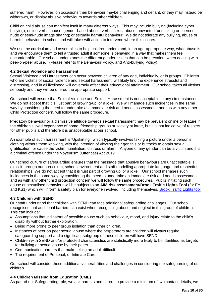suffered harm. However, on occasions their behaviour maybe challenging and defiant, or they may instead be withdrawn, or display abusive behaviours towards other children.

Child on child abuse can manifest itself in many different ways. This may include bullying (including cyber bullying), online verbal abuse; gender-based abuse, verbal sexist abuse, unwanted, unthinking or coerced nude or semi-nude image sharing; or sexually harmful behaviour. We do not tolerate any bullying, abuse or harmful behaviour in school and will take swift action to intervene where this occurs.

We use the curriculum and assemblies to help children understand, in an age-appropriate way, what abuse is and we encourage them to tell a trusted adult if someone is behaving in a way that makes them feel uncomfortable. Our school understands the different gender issues that can be prevalent when dealing with peer-on-peer abuse. (Please refer to the Behaviour Policy, and Anti-bullying Policy).

#### **4.2 Sexual Violence and Harassment**

Sexual Violence and Harassment can occur between children of any age, individually, or in groups. Children who are victims of sexual violence and sexual harassment, will likely find the experience stressful and distressing, and in all likelihood will adversely affect their educational attainment. Our school takes all victims seriously and they will be offered the appropriate support.

Our school will ensure that Sexual Violence and Sexual Harassment is not acceptable in any circumstances. We do not accept that it is 'just part of growing-up' or a joke. We will manage such incidences in the same way by considering the need to undertake an immediate risk and needs assessment, and, as with any other Child Protection concern, will follow the same procedure.

Predatory behaviour or a dismissive attitude towards sexual harassment may be prevalent online or feature in the children's lived experience of home, friendship groups or society at large, but it is not indicative of respect for other pupils and therefore it is unacceptable at our school.

An example of such harassment is 'Upskirting', which typically involves taking a picture under a person's clothing without them knowing, with the intention of viewing their genitals or buttocks to obtain sexual gratification, or cause the victim humiliation, distress or alarm. Anyone of any gender can be a victim and it is a criminal offence under the Voyeurism (Offences) Act 2019.

Our school culture of safeguarding ensures that the message that abusive behaviours are unacceptable is explicit through our curriculum, school environment and staff modelling appropriate language and respectful relationships. We do not accept that it is 'just part of growing up' or a joke. Our school manages such incidences in the same way by considering the need to undertake an immediate risk and needs assessment and as with any other child protection concern we will follow the same procedures. Pupils initiating such abuse or sexualised behaviour will be subject to an **AIM risk assessment**/**Brook Traffic Lights Tool** (for EY and KS1) which will inform a safety plan for everyone involved, including themselves. [Brook Traffic Lights tool](https://www.brook.org.uk/training/wider-professional-training/sexual-behaviours-traffic-light-tool/)

#### **4.3 Children with SEND**

Our staff understand that children with SEND can face additional safeguarding challenges. Our school recognises that additional barriers can exist when recognising abuse and neglect in this group of children. This can include:

- Assumptions that indicators of possible abuse such as behaviour, mood, and injury relate to the child's disability without further exploration.
- Being more prone to peer group isolation than other children.
- Instances of peer on peer sexual abuse where the perpetrators are children will always require safeguarding support and a significant subgroup of these children will have SEND;
- Children with SEND and/or protected characteristics are statistically more likely to be identified as targets for bullying or sexual abuse by their peers.
- Communication barriers that make telling an adult difficult.
- The requirement of Personal, or Intimate Care.

Our school will consider these additional vulnerabilities and challenges in considering the safeguarding of our children.

#### **4.4 Children Missing from Education (CME)**

As part of our Safeguarding role, we ask parents and carers to provide a minimum of two contact details, we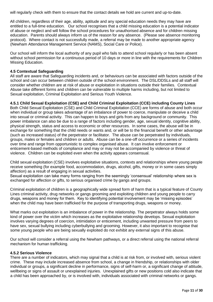will regularly check with them to ensure that the contact details we hold are current and up-to-date.

All children, regardless of their age, ability, aptitude and any special education needs they may have are entitled to a full-time education. Our school recognises that a child missing education is a potential indicator of abuse or neglect and will follow the school procedures for unauthorised absence and for children missing education. Parents should always inform us of the reason for any absence. (Please see absence monitoring protocol). Where contact is not successfully made, a referral may be made to another appropriate agency (Newham Attendance Management Service (NAMS), Social Care or Police).

Our school will inform the local authority of any pupil who fails to attend school regularly or has been absent without school permission for a continuous period of 10 days or more in line with the requirements for Children Missing Education.

#### **4.5 Contextual Safeguarding**

All staff are aware that Safeguarding incidents and, or behaviours can be associated with factors outside of the school and can occur between children outside of the school environment. The DSL/DDSLs and all staff will consider whether children are at risk of abuse or exploitation in situations outside their families. Contextual Abuse take different forms and children can be vulnerable to multiple harms including, but not limited to Sexual exploitation, Criminal Exploitation and Serious Youth Violence.

#### **4.5.1 Child Sexual Exploitation (CSE) and Child Criminal Exploitation (CCE) including County Lines**

Both Child Sexual Exploitation (CSE) and Child Criminal Exploitation (CCE) are forms of abuse and both occur when individual or group takes advantage of an imbalance of power to coerce, manipulate or deceive a child into sexual or criminal activity. This can happen to boys and girls from any background or community. This power imbalance can also be due to a range of factors including gender, age, sexual identity, cognitive ability, physical strength, status and access to economic or other resources. In some cases, the abuse will be in exchange for something that the child needs or wants and, or will be to the financial benefit or other advantage (such as increased status) of the perpetrator or facilitator. The abuse can be perpetrated by individuals, groups, males or females and children or adults. Abuse can be a one-off occurrence or a series of incidents over time and range from opportunistic to complex organised abuse. It can involve enforcement or enticement-based methods of compliance and may or may not be accompanied by violence or threat of violence. Children can be exploited even when the activity appears consensual.

Child sexual exploitation (CSE) involves exploitative situations, contexts and relationships where young people receive something (for example food, accommodation, drugs, alcohol, gifts, money or in some cases simply affection) as a result of engaging in sexual activities.

Sexual exploitation can take many forms ranging from the seemingly 'consensual' relationship where sex is exchanged for affection or gifts, to serious organised crime by gangs and groups.

Criminal exploitation of children is a geographically wide spread form of harm that is a typical feature of County Lines criminal activity, drug networks or gangs grooming and exploiting children and young people to carry drugs, weapons and money for them. Key to identifying potential involvement may be 'missing episodes' when the child may have been trafficked for the purpose of transporting drugs, weapons or money.

What marks out exploitation is an imbalance of power in the relationship. The perpetrator always holds some kind of power over the victim which increases as the exploitative relationship develops. Sexual exploitation involves varying degrees of coercion, intimidation or enticement, including unwanted pressure from peers to have sex, sexual bullying including cyberbullying and grooming. However, it also important to recognise that some young people who are being sexually exploited do not exhibit any external signs of this abuse.

Our school will consider a referral using the Newham pathways, or a direct referral using the national referral mechanism for human trafficking.

#### **4.5.2 Serious Violence**

There are a number of indicators, which may signal that a child is at risk from, or involved with, serious violent crime. These may include increased absence from school, a change in friendship, or relationships with older individual or groups, a significant decline in performance, signs of self-harm or, a significant change of attitude, wellbeing or signs of assault or unexplained injuries. Unexplained gifts or new positions cold also indicate that a child has been approached by, or is involved with, individuals associated with criminal networks or gangs.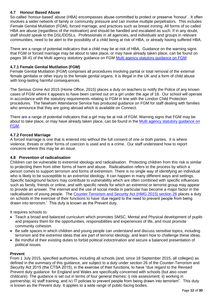#### **4.7 Honour Based Abuse**

So-called 'honour-based' abuse (HBA) encompasses abuse committed to protect or preserve 'honour'. It often involves a wider network of family or community pressure and can involve multiple perpetrators. This includes Female Genital Mutilation (FGM), forced marriage, and practices such as breast ironing. All forms of so called HBA are abuse (regardless of the motivation) and should be handled and escalated as such. If in any doubt, staff should speak to the DSL/DDSLs. Professionals in all agencies, and individuals and groups in relevant communities, need to be alert to the possibility of a child being at risk of HBA, or already having suffered HBA.

There are a range of potential indicators that a child may be at risk of HBA. Guidance on the warning signs that FGM or forced marriage may be about to take place, or may have already taken place, can be found on pages 38-41 of the Multi agency statutory guidance on FGM [Multi agency statutory guidance on FGM](https://assets.publishing.service.gov.uk/government/uploads/system/uploads/attachment_data/file/912996/6-1914-HO-Multi_Agency_Statutory_Guidance_on_FGM__-_MASTER_V7_-_FINAL__July_2020.pdf)

#### **4.7.1 Female Genital Mutilation (FGM)**

Female Genital Mutilation (FGM) comprises all procedures involving partial or total removal of the external female genitalia or other injury to the female genital organs. It is illegal in the UK and a form of child abuse with long-lasting harmful consequences.

The Serious Crime Act 2015 (Home Office, 2015) places a duty on teachers to notify the Police of any known cases of FGM where it appears to have been carried out on a girl under the age of 18. Our school will operate in accordance with the statutory requirements relating to FGM in line with the London Child Protection procedures. The Newham Attendance Service has produced guidance on FGM for staff dealing with families who announce that they are going abroad which is available on Connect.

There are a range of potential indicators that a girl may be at risk of FGM. Warning signs that FGM may be about to take place, or may have already taken place, can be found in the Multi agency statutory guidance on [FGM.](https://assets.publishing.service.gov.uk/government/uploads/system/uploads/attachment_data/file/912996/6-1914-HO-Multi_Agency_Statutory_Guidance_on_FGM__-_MASTER_V7_-_FINAL__July_2020.pdf)

#### **4.7.2 Forced Marriage**

A forced marriage is one that is entered into without the full consent of one or both parties. It is where violence, threats or other forms of coercion is used and is a crime. Our staff understand how to report concerns where this may be an issue.

#### **4.8 Prevention of radicalisation**

Children can be vulnerable to extremist ideology and radicalisation. Protecting children from this risk is similar to protecting them from other forms of harm and abuse. Radicalisation refers to the process by which a person comes to support terrorism and forms of extremism. There is no single way of identifying an individual who is likely to be susceptible to an extremist ideology. It can happen in many different ways and settings. Specific background factors may contribute to vulnerability which are often combined with specific influences such as family, friends or online, and with specific needs for which an extremist or terrorist group may appear to provide an answer. The internet and the use of social media in particular has become a major factor in the radicalisation of young people. The [Counter Terrorism and Security Act \(HMG 2015\) section 26](https://www.legislation.gov.uk/ukpga/2015/6/contents) places a duty on schools in the exercise of their functions to have 'due regard to the need to prevent people from being drawn into terrorism.' This duty is known as the Prevent duty.

It requires schools to:

- Teach a broad and balanced curriculum which promotes SMSC, Mental and Physical development of pupils and prepares them for the opportunities, responsibilities and experiences of life, and must promote community cohesion.
- Be safe spaces in which children and young people can understand and discuss sensitive topics, including terrorism and the extremist ideas that are part of terrorist ideology, and learn how to challenge these ideas.
- Be mindful of their existing duties to forbid political indoctrination and secure a balanced presentation of political issues.

#### **Prevent**

From 1 July 2015, specified authorities, including all schools (and, since 18 September 2015, all colleges) as defined in the summary of this guidance, are subject to a duty under section 26 of the Counter-Terrorism and Security Act 2015 (the CTSA 2015), in the exercise of their functions, to have "due regard to the Revised Prevent duty guidance: for England and Wales are specifically concerned with schools (but also cover childcare). The guidance is set out in terms of four general themes: i) risk assessment; ii) working in partnership; iii) staff training, and iv) IT policies to prevent people from being drawn into terrorism". This duty is known as the Prevent duty. It applies to a wide range of public-facing bodies.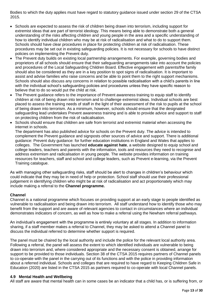Bodies to which the duty applies must have regard to statutory guidance issued under section 29 of the CTSA 2015.

- Schools are expected to assess the risk of children being drawn into terrorism, including support for extremist ideas that are part of terrorist ideology. This means being able to demonstrate both a general understanding of the risks affecting children and young people in the area and a specific understanding of how to identify individual children who may be at risk of radicalisation and what to do to support them. Schools should have clear procedures in place for protecting children at risk of radicalisation. These procedures may be set out in existing safeguarding policies. It is not necessary for schools to have distinct policies on implementing the Prevent duty.
- The Prevent duty builds on existing local partnership arrangements. For example, governing bodies and proprietors of all schools should ensure that their safeguarding arrangements take into account the policies and procedures of the Local Safeguarding Children Board. Effective engagement with parents/the family should also be considered as they are in a key position to spot signs of radicalisation. It is important to assist and advise families who raise concerns and be able to point them to the right support mechanisms. Schools should also discuss any concerns in relation to possible radicalisation with a child's parents in line with the individual school's safeguarding policies and procedures unless they have specific reason to believe that to do so would put the child at risk.
- The Prevent guidance refers to the importance of Prevent awareness training to equip staff to identify children at risk of being drawn into terrorism and to challenge extremist ideas. Individual schools are best placed to assess the training needs of staff in the light of their assessment of the risk to pupils at the school of being drawn into terrorism. As a minimum, however, schools should ensure that the designated safeguarding lead undertakes Prevent awareness training and is able to provide advice and support to staff on protecting children from the risk of radicalisation.
- Schools should ensure that children are safe from terrorist and extremist material when accessing the internet in schools.

The department has also published advice for schools on the Prevent duty. The advice is intended to complement the Prevent guidance and signposts other sources of advice and support. There is additional guidance: Prevent duty guidance: for further education institutions in England and Wales that applies to colleges. The Government has launched **educate against hate**, a website designed to equip school and college leaders, teachers and parents with the information, tools and resources they need to recognise and address extremism and radicalisation in young people. The website provides information on training resources for teachers, staff and school and college leaders, such as Prevent e-learning, via the Prevent Training catalogue.

As with managing other safeguarding risks, staff should be alert to changes in children's behaviour which could indicate that they may be in need of help or protection. School staff should use their professional judgement in identifying children who might be at risk of radicalisation and act proportionately which may include making a referral to the **Channel programme.**

#### **Channel**

Channel is a national programme which focuses on providing support at an early stage to people identified as vulnerable to radicalisation and being drawn into terrorism. All staff understand how to identify those who may benefit from the support and are aware of relevant agencies to contact in circumstances where an individual demonstrates indicators of concern, as well as how to make a referral using the Newham referral pathways.

An individual's engagement with the programme is entirely voluntary at all stages. In addition to information sharing, if a staff member makes a referral to Channel, they may be asked to attend a Channel panel to discuss the individual referred to determine whether support is required.

The panel must be chaired by the local authority and include the police for the relevant local authority area. Following a referral, the panel will assess the extent to which identified individuals are vulnerable to being drawn into terrorism and, where considered appropriate and the necessary consent is obtained, arrange for support to be provided to those individuals. Section 38 of the CTSA 2015 requires partners of Channel panels to co-operate with the panel in the carrying out of its functions and with the police in providing information about a referred individual. Schools and colleges that are required to have regard to Keeping Children Safe in Education (2020) are listed in the CTSA 2015 as partners required to co-operate with local Channel panels.

#### **4.9 Mental Health and Wellbeing**

All staff are aware that mental health can in some cases be an indicator that a child has, or is suffering from, or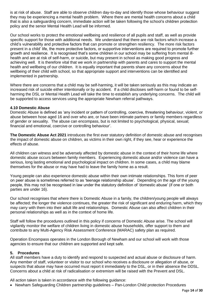is at risk of abuse. Staff are able to observe children day-to-day and identify those whose behaviour suggest they may be experiencing a mental health problem. Where there are mental health concerns about a child that is also a safeguarding concern, immediate action will be taken following the school's children protection policy and the senior Mental Health Lead will be informed.

Our school works to protect the emotional wellbeing and resilience of all pupils and staff, as well as provide specific support for those with additional needs. We understand that there are risk factors which increase a child's vulnerability and protective factors that can promote or strengthen resiliency. The more risk factors present in a child' life, the more protective factors, or supportive interventions are required to promote further growth and resilience. It is recognised that's some children in our school may be suffering from mental illhealth and are at risk of self-harm, or suicide, but may present in school as making good progress and achieving well. It is therefore vital that we work in partnership with parents and cares to support the mental health and wellbeing of our children. It is equally important that parents share any concerns about the wellbeing of their child with school, so that appropriate support and interventions can be identified and implemented in partnership.

Where there are concerns that a child may be self-harming, it will be taken seriously as this may indicate an increased risk of suicide either intentionally or by accident. If a child discloses self-harm or found to be selfharming the DSL or Mental Health Lead will take the time to establish any underlying concerns. The child will be supported to access services using the appropriate Newham referral pathways.

#### **4.10 Domestic Abuse**

Domestic Abuse is defined as 'any incident or pattern of controlling, coercive, threatening behaviour, violent, or abuse between hose aged 16 and over who are, or have been intimate partners or family members regardless of gender or sexuality. The abuse can encompass, but is not limited to psychological, physical, sexual; financial and emotional, coercive or controlling behaviour'.

**The Domestic Abuse Act 2021** introduces the first ever statutory definition of domestic abuse and recognises the impact of domestic abuse on children, as victims in their own right, if they see, hear or experience the effects of abuse.

All children can witness and be adversely affected by domestic abuse in the context of their home life where domestic abuse occurs between family members. Experiencing domestic abuse and/or violence can have a serious, long lasting emotional and psychological impact on children. In some cases, a child may blame themselves for the abuse or may have had to leave the family home as a result.

Young people can also experience domestic abuse within their own intimate relationships. This form of peer on peer abuse is sometimes referred to as 'teenage relationship abuse'. Depending on the age of the young people, this may not be recognised in law under the statutory definition of 'domestic abuse' (if one or both parties are under 16).

Our school recognises that where there is Domestic Abuse in a family, the children/young people will always be affected; the longer the violence continues, the greater the risk of significant and enduring harm, which they may carry with them into their adult life and relationships. Domestic Abuse can also affect children in their personal relationships as well as in the context of home life.

Staff will follow the procedures outlined in this policy if concerns of Domestic Abuse arise. The school will vigilantly monitor the welfare of children living in domestic abuse households, offer support to them and contribute to any Multi-Agency Risk Assessment Conference (MARAC) safety plan as required.

Operation Encompass operates in the London Borough of Newham and our school will work with those agencies to ensure that our children are supported and kept safe.

#### **5. Procedures**

All staff members have a duty to identify and respond to suspected and actual abuse or disclosure of harm. Any member of staff, volunteer or visitor to our school who receives a disclosure or allegation of abuse, or suspects that abuse may have occurred must report it immediately to the DSL, or in their absence the DDSL. Concerns about a child at risk of radicalisation or extremism will be raised with the Prevent and DSL.

All action taken is taken in accordance with the following guidance:

• Newham Safeguarding Children partnership guidelines – Pan-London Child protection Procedures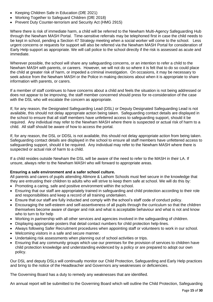- Keeping Children Safe in Education (DfE 2021)
- Working Together to Safeguard Children (DfE 2018)
- Prevent Duty Counter-terrorism and Security Act (HMG 2915)

Where there is risk of immediate harm, a child will be referred to the Newham Multi-Agency Safeguarding Hub through the Newham MASH Portal. Time-sensitive referrals may be telephoned first in case the child needs to be kept in school, pending a Section 47 Strategy meeting when a social worker will come to the school. Less urgent concerns or requests for support will also be referred via the Newham MASH Portal for consideration of Early Help support as appropriate. We will call police to the school directly if the risk is assessed as acute and immediate.

Wherever possible, the school will share any safeguarding concerns, or an intention to refer a child to the Newham MASH with parents, or careers. However, we will not do so where it is felt that to do so could place the child at greater risk of harm, or impeded a criminal investigation. On occasions, it may be necessary to seek advice from the Newham MASH or the Police in making decisions about when it is appropriate to share information with parents, or carers.

If a member of staff continues to have concerns about a child and feels the situation is not being addressed or does not appear to be improving, the staff member concerned should press for re-consideration of the case with the DSL who will escalate the concern as appropriate.

If, for any reason, the Designated Safeguarding Lead (DSL) or Deputy Designated Safeguarding Lead is not available, this should not delay appropriate action being taken. Safeguarding contact details are displayed in the school to ensure that all staff members have unfettered access to safeguarding support, should it be required. Any individual may refer to the Newham MASH where there is suspected or actual risk of harm to a child. All staff should be aware of how to access the portal.

If, for any reason, the DSL or DDSL is not available, this should not delay appropriate action from being taken. Safeguarding contact details are displayed in the school to ensure all staff members have unfettered access to safeguarding support, should it be required. Any individual may refer to the Newham MASH where there is suspected or actual risk of harm to a child.

If a child resides outside Newham the DSL will be aware of the need to refer to the MASH in their LA. If unsure, always refer to the Newham MASH who will forward to appropriate areas.

#### **Ensuring a safe environment and a safer school culture.**

All parents and carers of pupils attending Altmore & Lathom Schools must feel secure in the knowledge that they are entrusting their children to adults who will strive to keep them safe at school. We will do this by:

- Promoting a caring, safe and positive environment within the school.
- Ensuring that our staff are appropriately trained in safeguarding and child protection according to their role and responsibilities and keep a record of all training undertaken.
- Ensure that our staff are fully inducted and comply with the school's staff code of conduct policy.
- Encouraging the self-esteem and self-assertiveness of all pupils through the curriculum so that the children themselves become aware of danger and risk and what is acceptable behaviour and what is not and know who to turn to for help
- Working in partnership with all other services and agencies involved in the safeguarding of children.
- Displaying appropriate posters that detail contact numbers for child protection help-lines.
- Always following Safer Recruitment procedures when appointing staff or volunteers to work in our school.
- Welcoming visitors in a safe and secure manner.
- Undertaking risk assessments when planning out of school activities or trips.
- Ensuring that any community groups which use our premises for the provision of services to children have child protection knowledge and understanding evidenced by a policy or are prepared to adopt our own policy.

Our DSL and deputy DSLs will continually monitor our Child Protection, Safeguarding and Early Help practices and bring to the notice of the Headteacher and Governors any weaknesses or deficiencies.

The Governing Board has a duty to remedy any weaknesses that are identified.

An annual report will be submitted to the Governing Board which will outline the Child Protection, Safeguarding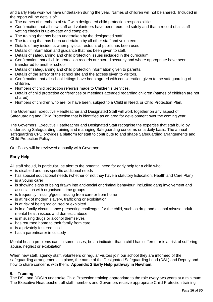and Early Help work we have undertaken during the year. Names of children will not be shared. Included in the report will be details of:

- The names of members of staff with designated child protection responsibilities.
- Confirmation that all new staff and volunteers have been recruited safely and that a record of all staff vetting checks is up-to-date and complete.
- The training that has been undertaken by the designated staff.
- The training that has been undertaken by all other staff and volunteers.
- Details of any incidents when physical restraint of pupils has been used.
- Details of information and guidance that has been given to staff.
- Details of safeguarding and child protection issues included in the curriculum.
- Confirmation that all child protection records are stored securely and where appropriate have been transferred to another school.
- Details of safeguarding and child protection information given to parents.
- Details of the safety of the school site and the access given to visitors.
- Confirmation that all school lettings have been agreed with consideration given to the safeguarding of children.
- Numbers of child protection referrals made to Children's Services.
- Details of child protection conferences or meetings attended regarding children (names of children are not shared).
- Numbers of children who are, or have been, subject to a Child in Need, or Child Protection Plan.

The Governors, Executive Headteacher and Designated Staff will work together on any aspect of Safeguarding and Child Protection that is identified as an area for development over the coming year.

The Governors, Executive Headteacher and Designated Staff recognise the expertise that staff build by undertaking Safeguarding training and managing Safeguarding concerns on a daily basis. The annual safeguarding CPD provides a platform for staff to contribute to and shape Safeguarding arrangements and Child Protection Policy.

Our Policy will be reviewed annually with Governors.

#### **Early Help**

All staff should, in particular, be alert to the potential need for early help for a child who:

- is disabled and has specific additional needs
- has special educational needs (whether or not they have a statutory Education, Health and Care Plan)
- is a young carer
- is showing signs of being drawn into anti-social or criminal behaviour, including gang involvement and association with organised crime groups
- is frequently missing/goes missing from care or from home
- is at risk of modern slavery, trafficking or exploitation
- is at risk of being radicalised or exploited
- is in a family circumstance presenting challenges for the child, such as drug and alcohol misuse, adult mental health issues and domestic abuse
- is misusing drugs or alcohol themselves
- has returned home to their family from care
- is a privately fostered child
- has a parent/carer in custody

Mental health problems can, in some cases, be an indicator that a child has suffered or is at risk of suffering abuse, neglect or exploitation.

When new staff, agency staff, volunteers or regular visitors join our school they are informed of the safeguarding arrangements in place, the name of the Designated Safeguarding Lead (DSL) and Deputy and how to share concerns with them. **Appendix 2 Early Help pathway in Newham.**

#### **6. Training**

The DSL and DDSLs undertake Child Protection training appropriate to the role every two years at a minimum. The Executive Headteacher, all staff members and Governors receive appropriate Child Protection training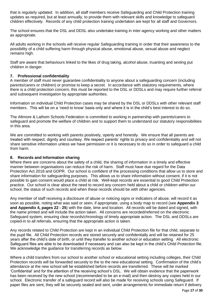that is regularly updated. In addition, all staff members receive Safeguarding and Child Protection training updates as required, but at least annually, to provide them with relevant skills and knowledge to safeguard children effectively. Records of any child protection training undertaken are kept for all staff and Governors.

The school ensures that the DSL and DDSL also undertake training in inter-agency working and other matters as appropriate.

All adults working in the schools will receive regular Safeguarding training in order that their awareness to the possibility of a child suffering harm through physical abuse, emotional abuse, sexual abuse and neglect remains high.

Staff are aware that behaviours linked to the likes of drug taking, alcohol abuse, truanting and sexting put children in danger.

#### **7. Professional confidentiality**

A member of staff must never guarantee confidentiality to anyone about a safeguarding concern (including parents/carers or children) or promise to keep a secret. In accordance with statutory requirements, where there is a child protection concern, this must be reported to the DSL or DDSLs and may require further referral and subsequent investigation by appropriate authorities.

Information on individual Child Protection cases may be shared by the DSL or DDSLs with other relevant staff members. This will be on a 'need to know' basis only and where it is in the child's best interest to do so.

The Altmore & Lathom Schools Federation is committed to working in partnership with parents/carers to safeguard and promote the welfare of children and to support them to understand our statutory responsibilities in this area.

We are committed to working with parents positively, openly and honestly. We ensure that all parents are treated with respect, dignity and courtesy. We respect parents' rights to privacy and confidentiality and will not share sensitive information unless we have permission or it is necessary to do so in order to safeguard a child from harm.

#### **8. Records and Information sharing**

Where there are concerns about the safety of a child, the sharing of information in a timely and effective manner between organisations can reduce the risk of harm. Staff must have due regard for the Data Protection Act 2018 and GDPR. Our school is confident of the processing conditions that allow us to store and share information for safeguarding purposes. This allows us to share information without consent, if it is not possible to gain consent would place a child at risk. Well-kept records are essential to good Child Protection practice. Our school is clear about the need to record any concern held about a child or children within our school, the status of such records and when these records should be with other agencies.

Any member of staff receiving a disclosure of abuse or noticing signs or indicators of abuse, will record it as soon as possible, noting what was said or seen, if appropriate, using a body map to record (see **Appendix 3 and Appendix 4, pages 22 - 25**) with the date, time and location. All records will be dated and signed, with the name printed and will include the action taken. All concerns are recorded/referred on the electronic Safeguard system, ensuring clear records/chronology of timely appropriate action. The DSL and DDSLs are copied-in to all referrals, ensuring that the appropriate action is taken.

Any records related to Child Protection are kept in an individual Child Protection file for that child, separate to the pupil file. All Child Protection records are stored securely and confidentially and will be retained for 25 years after the child's date of birth, or until they transfer to another school or education setting. All electronic Safeguard files are able to be downloaded if necessary and can also be kept in the child's Child Protection file. We acknowledge the guidance for transferring records as below.

Where a child transfers from our school to another school or educational setting including colleges, their Child Protection records will be forwarded securely to the to the new educational setting. Confirmation of the child's attendance at the new school will be established before records are transferred. These will be marked 'Confidential' and for the attention of the receiving school's DSL. We will obtain evidence that the paperwork has been received by the new school (recommended to be an e-mail) and then destroy any copies held in our school. Electronic transfer of a safeguard record will also be made for receiving schools using Safeguard. If paper files are sent, they will be securely sealed and sent, under arrangements for immediate return if delivery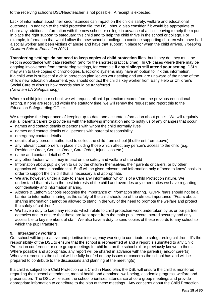to the receiving school's DSL/Headteacher is not possible. A receipt is expected.

Lack of information about their circumstances can impact on the child's safety, welfare and educational outcomes. In addition to the child protection file, the DSL should also consider if it would be appropriate to share any additional information with the new school or college in advance of a child leaving to help them put in place the right support to safeguard this child and to help the child thrive in the school or college. For example, information that would allow the new school or college to continue supporting children who have had a social worker and been victims of abuse and have that support in place for when the child arrives. *(Keeping Children Safe in Education 2021)*

**Transferring settings do not need to keep copies of child protection files**, but if they do, they must be kept in accordance with data retention (and for the shortest practical time). In CP cases where there may be ongoing involvement from transferring settings, for example **if any siblings still attend your setting**, DSLs may wish to take copies of chronologies. Electronic systems may have an option to link this information. If a child who is subject of a child protection plan leaves your setting and you are unaware of the name of the child's new education placement, you should contact the child's key worker from Early Help or Children's Social Care to discuss how records should be transferred. *(Newham LA Safeguarding)*

Where a child joins our school, we will request all child protection records from the previous educational setting. If none are received within the statutory time, we will renew the request and report this to the Education Safeguarding Officer.

We recognise the importance of keeping up-to-date and accurate information about pupils. We will regularly ask all parents/carers to provide us with the following information and to notify us of any changes that occur.

- names and contact details of persons with whom the child normally lives
- names and contact details of all persons with parental responsibility
- emergency contact details
- details of any persons authorised to collect the child from school (if different from above)
- any relevant court orders in place including those which affect any person's access to the child (e.g. Residence Order, Contact Order, Care Order, Injunctions etc.)
- name and contact detail of G.P
- any other factors which may impact on the safety and welfare of the child
- Information about pupils given to us by the children themselves, their parents or carers, or by other agencies will remain confidential. Staff will be given relevant and information only a "need to know" basis in order to support the child if that is necessary and appropriate.
- We are, however, under a duty to share any information which is of a Child Protection nature. We understand that this is in the best interests of the child and overrides any other duties we have regarding confidentiality and information sharing.
- Altmore & Lathom Schools recognise the importance of information sharing. GDPR fears should not be a barrier to information sharing as the safely of the child should be of the utmost importance. "Fears about sharing information cannot be allowed to stand in the way of the need to promote the welfare and protect the safety of children."
- We have a duty to keep any records which relate to child protection work undertaken by us or our partner agencies and to ensure that these are kept apart from the main pupil record, stored securely and only accessible to key members of staff. We also have a duty to send copies of these records to any school to which the pupil transfers.

#### **9. Interagency working**

Our school will be pro-active and prioritise inter-agency working to contribute to safeguarding children. It's the responsibility of the DSL to ensure that the school is represented at and a report is submitted to any Child Protection conference or core group meetings for children on the school roll or previously known to them. Where possible and appropriate, any report will be shared in advance with the parent(s) and/or carer(s). Whoever represents the school will be fully briefed on any issues or concerns the school has and will be prepared to contribute to the discussions and planning at the meeting(s).

If a child is subject to a Child Protection or a Child in Need plan, the DSL will ensure the child is monitored regarding their school attendance, mental health and emotional well-being, academic progress, welfare and presentation. The DSL will ensure the school prioritises attendance at core group meetings and provide appropriate information to contribute to the plan at these meetings. Any concerns about the Child Protection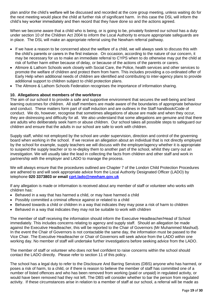plan and/or the child's welfare will be discussed and recorded at the core group meeting, unless waiting do for the next meeting would place the child at further risk of significant harm. In this case the DSL will inform the child's key worker immediately and then record that they have done so and the actions agreed.

When we become aware that a child who is being, or is going to be, privately fostered our school has a duty under section 10 of the Children Act 2004 to inform the Local Authority to ensure appropriate safeguards are in place. The DSL will make an appropriate referral using the Newham referral pathway.

- If we have a reason to be concerned about the welfare of a child, we will always seek to discuss this with the child's parents or carers in the first instance. On occasion, according to the nature of our concern, it may be necessary for us to make an immediate referral to CYPS when to do otherwise may put the child at risk of further harm either because of delay, or because of the actions of the parents or carers.
- Altmore & Lathom Schools work closely with Social Care, the Police, health services and other services to promote the welfare of children and protect them from harm. This includes providing a co-ordinated offer of Early Help when additional needs of children are identified and contributing to inter-agency plans to provide additional support to children subject to child protection plans.
- The Altmore & Lathom Schools Federation recognises the importance of information sharing.

#### **10. Allegations about members of the workforce**

The aim of our school it to provide a safe and supportive environment that secures the well-being and best learning outcomes for children. All staff members are made aware of the boundaries of appropriate behaviour and conduct. These matters form part of staff induction and are outlines in the Staff handbook/Code of conduct. We do, however, recognise that sometimes allegations of abuse are made and when they occur, they are distressing and difficulty for all. We also understand that some allegations are genuine and that there are adults who deliberately seek harm or abuse children. Our school takes all possible steps to safeguard our children and ensure that the adults in our school are safe to work with children.

Supply staff, whilst not employed by the school are under supervision, direction and control of the governing board when working in the school. If we receive an allegation about an individual that is not directly employed by the school for example, supply teachers we will discuss with the employer/agency whether it is appropriate to suspend the supply teacher or to re-deploy them to another part of the school, whilst they carry out an investigation. We will usually take the lead in collecting the facts from children and other staff and work in partnership with the employer and LADO to manage the process.

We will always ensure that the procedures outlined are Chapter 7 of the London Child Protection Procedures are adhered to and will seek appropriate advice from the Local Authority Designated Officer (LADO) by telephone **020 3373803 or email [cprt.lado@newham.gov.uk](mailto:cprt.lado@newham.gov.uk)**

If any allegation is made or information is received about any member of staff or volunteer who works with children has:

- Behaved in a way that has harmed a child, or may have harmed a child
- Possibly committed a criminal offence against or related to a child
- Behaved towards a child or children in a way that indicates they may pose a risk of harm to children
- Behaved in a way that indicates they may not be suitable to work with children

The member of staff receiving the information should inform the Executive Headteacher/Head of School immediately. This includes concerns relating to agency and supply staff. Should an allegation be made against the Executive Headteacher, this will be reported to the Chair of Governors (Mr Muhammed Mashud). In the event the Chair of Governors is not contactable the same day, the information must be passed to the Vice Chair. The Executive Headteacher or Chair of Governors will seek advice from the LADO within one working day. No member of staff will undertake further investigations before seeking advice from the LADO.

The member of staff or volunteer who does not feel confident to raise concerns within the school should contact the LADO directly. Please refer to section 11 of this policy.

The school has a legal duty to refer to the Disclosure And Barring Services (DBS) anyone who has harmed, or poses a risk of harm, to a child, or if there is reason to believe the member of staff has committed one of a number of listed offences and who has been removed from working (paid or unpaid) in regulated activity, or would have been removed had they not left. The DBS will consider whether to bar the person from regulated activity. If these circumstances arise in relation to a member of staff at our school, a referral will be made as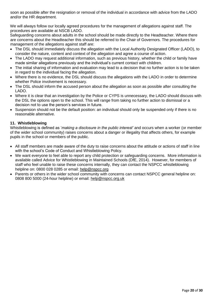soon as possible after the resignation or removal of the individual in accordance with advice from the LADO and/or the HR department.

We will always follow our locally agreed procedures for the management of allegations against staff. The procedures are available at NSCB LADO.

Safeguarding concerns about adults in the school should be made directly to the Headteacher. Where there are concerns about the Headteacher this should be referred to the Chair of Governors. The procedures for management of the allegations against staff are:

- The DSL should immediately discuss the allegation with the Local Authority Designated Officer (LADO), to consider the nature, content and context of the allegation and agree a course of action.
- The LADO may request additional information, such as previous history, whether the child or family have made similar allegations previously and the individual's current contact with children.
- The initial sharing of information and evaluation may lead to a decision that no further action is to be taken in regard to the individual facing the allegation.
- Where there is no evidence, the DSL should discuss the allegations with the LADO in order to determine whether Police involvement is necessary.
- The DSL should inform the accused person about the allegation as soon as possible after consulting the LADO.
- Where it is clear that an investigation by the Police or CYPS is unnecessary, the LADO should discuss with the DSL the options open to the school. This will range from taking no further action to dismissal or a decision not to use the person's services in future.
- Suspension should not be the default position: an individual should only be suspended only if there is no reasonable alternative.

#### **11. Whistleblowing**

Whistleblowing is defined as '*making a disclosure in the public interest'* and occurs when a worker (or member of the wider school community) raises concerns about a danger or illegality that affects others, for example pupils in the school or members of the public.

- All staff members are made aware of the duty to raise concerns about the attitude or actions of staff in line with the school's Code of Conduct and Whistleblowing Policy.
- We want everyone to feel able to report any child protection or safeguarding concerns. More information is available called Advice for Whistleblowing in Maintained Schools (DfE, 2014). However, for members of staff who feel unable to raise these concerns internally, they can contact the NSPCC whistleblowing helpline on: 0800 028 0285 or email: [help@nspcc.org](mailto:help@nspcc.org)
- Parents or others in the wider school community with concerns can contact NSPCC general helpline on: 0808 800 5000 (24-hour helpline) or email: [help@nspcc.org.uk](mailto:help@nspcc.org.uk)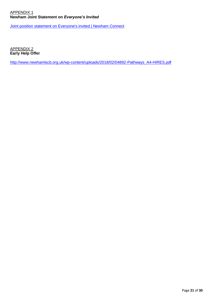#### <u>APPENDIX 1</u> **Newham Joint Statement on** *Everyone's Invited*

**[Joint position statement on Everyone's invited | Newham Connect](https://www.newhamconnect.uk/Article/90305)** 

<u>APPENDIX 2</u> **Early Help Offer**

[http://www.newhamlscb.org.uk/wp-content/uploads/2018/02/04892-Pathways\\_A4-HIRES.pdf](http://www.newhamlscb.org.uk/wp-content/uploads/2018/02/04892-Pathways_A4-HIRES.pdf)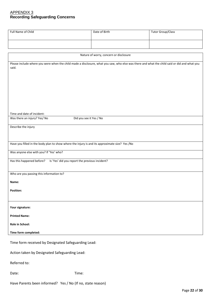#### <u>APPENDIX 3</u> **Recording Safeguarding Concerns**

| Full Name of Child                                                                                                                                    | Date of Birth | <b>Tutor Group/Class</b> |  |
|-------------------------------------------------------------------------------------------------------------------------------------------------------|---------------|--------------------------|--|
|                                                                                                                                                       |               |                          |  |
|                                                                                                                                                       |               |                          |  |
| Nature of worry, concern or disclosure                                                                                                                |               |                          |  |
| Please include where you were when the child made a disclosure, what you saw, who else was there and what the child said or did and what you<br>said. |               |                          |  |
|                                                                                                                                                       |               |                          |  |
|                                                                                                                                                       |               |                          |  |
|                                                                                                                                                       |               |                          |  |
|                                                                                                                                                       |               |                          |  |
|                                                                                                                                                       |               |                          |  |
| Time and date of incident:                                                                                                                            |               |                          |  |
| Did you see it Yes / No<br>Was there an injury? Yes/ No                                                                                               |               |                          |  |
| Describe the injury                                                                                                                                   |               |                          |  |
|                                                                                                                                                       |               |                          |  |
| Have you filled in the body plan to show where the injury is and its approximate size? Yes /No                                                        |               |                          |  |
| Was anyone else with you? If 'Yes' who?                                                                                                               |               |                          |  |
| Has this happened before?<br>Is 'Yes' did you report the previous incident?                                                                           |               |                          |  |
| Who are you passing this information to?                                                                                                              |               |                          |  |
| Name:                                                                                                                                                 |               |                          |  |
| <b>Position:</b>                                                                                                                                      |               |                          |  |
|                                                                                                                                                       |               |                          |  |
| Your signature:                                                                                                                                       |               |                          |  |
| <b>Printed Name:</b>                                                                                                                                  |               |                          |  |
| Role in School:                                                                                                                                       |               |                          |  |
| Time form completed:                                                                                                                                  |               |                          |  |
| Time form received by Designated Safeguarding Lead:                                                                                                   |               |                          |  |
| Action taken by Designated Safeguarding Lead:                                                                                                         |               |                          |  |
| Referred to:                                                                                                                                          |               |                          |  |
| Time:<br>Date:                                                                                                                                        |               |                          |  |
| Have Parents been informed? Yes / No (If no, state reason)                                                                                            |               |                          |  |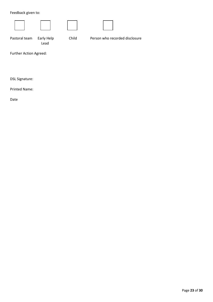Feedback given to:



Further Action Agreed:

DSL Signature:

Printed Name:

Date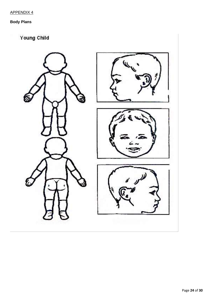## **Body Plans**

# Young Child

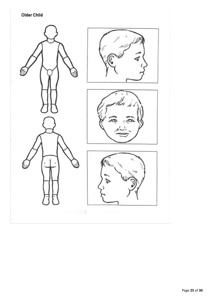# Older Child

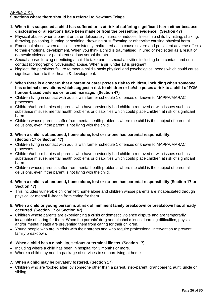#### APPENDIX 5 **Situations where there should be a referral to Newham Triage**

- **1. When it is suspected a child has suffered or is at risk of suffering significant harm either because disclosures or allegations have been made or from the presenting evidence. (Section 47)**
- Physical abuse: when a parent or carer deliberately injures or induces illness in a child by hitting, shaking, throwing, poisoning, burning or scalding, drowning or suffocating or otherwise causing physical harm.
- Emotional abuse: when a child is persistently maltreated as to cause severe and persistent adverse effects to their emotional development. When you think a child is traumatised, injured or neglected as a result of domestic violence or persistent serious verbal threats.
- Sexual abuse: forcing or enticing a child to take part in sexual activities including both contact and noncontact (pornographic, voyeuristic) abuse. When a girl under 13 is pregnant.
- Neglect: the persistent failure to meet a child's basic physical and psychological needs which could cause significant harm to their health & development.
- **2. When there is a concern that a parent or carer poses a risk to children, including when someone has criminal convictions which suggest a risk to children or he/she poses a risk to a child of FGM, honour-based violence or forced marriage. (Section 47)**
- Children living in contact with adults with former schedule 1 offences or known to MAPPA/MARAC processes.
- Children/unborn babies of parents who have previously had children removed or with issues such as substance misuse, mental health problems or disabilities which could place children at risk of significant harm.
- Children whose parents suffer from mental health problems where the child is the subject of parental delusions, even if the parent is not living with the child.
- **3. When a child is abandoned, home alone, lost or no-one has parental responsibility. (Section 17 or Section 47)**
- Children living in contact with adults with former schedule 1 offences or known to MAPPA/MARAC processes.
- Children/unborn babies of parents who have previously had children removed or with issues such as substance misuse, mental health problems or disabilities which could place children at risk of significant harm.
- Children whose parents suffer from mental health problems where the child is the subject of parental delusions, even if the parent is not living with the child.
- **4. When a child is abandoned, home alone, lost or no-one has parental responsibility (Section 17 or Section 47)**
- This includes vulnerable children left home alone and children whose parents are incapacitated through physical or mental ill-health from caring for them.
- **5. When a child or young person is at risk of imminent family breakdown or breakdown has already occurred. (Section 17 or Section 47)**
- Children whose parents are experiencing a crisis or domestic violence dispute and are temporarily incapable of caring for them. When the parents' drug and alcohol misuse, learning difficulties, physical and/or mental health are preventing them from caring for their children.
- Young people who are in crisis with their parents and who require professional intervention to prevent family breakdown.

#### **6. When a child has a disability, serious or terminal illness. (Section 17)**

- Including where a child has been in hospital for 3 months or more.
- Where a child may need a package of services to support living at home.

### **7. When a child may be privately fostered. (Section 17)**

• Children who are 'looked after' by someone other than a parent, step-parent, grandparent, aunt, uncle or sibling.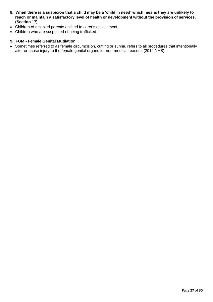- **8. When there is a suspicion that a child may be a 'child in need' which means they are unlikely to reach or maintain a satisfactory level of health or development without the provision of services. (Section 17)**
- Children of disabled parents entitled to carer's assessment.
- Children who are suspected of being trafficked.

#### **9. FGM - Female Genital Mutilation**

• Sometimes referred to as female circumcision, cutting or sunna, refers to all procedures that intentionally alter or cause injury to the female genital organs for non-medical reasons (2014 NHS)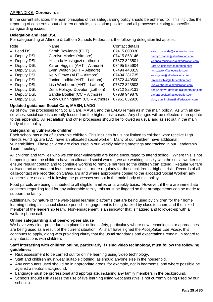#### APPENDIX 6: **Coronavirus**

In the current situation, the main principles of this safeguarding policy should be adhered to. This includes the reporting of concerns about children or adults, escalation policies, and all processes relating to specific safeguarding issues.

#### **Delegation and lead DSL**

For safeguarding at Altmore & Lathom Schools Federation, the following delegation list applies.

| Name                            | Contact details |                                       |
|---------------------------------|-----------------|---------------------------------------|
| Sarah Rowlands (EHT)            | 07415 800030    | sarah.rowlands@alfederation.com       |
| Carolyn Marles (Altmore)        | 07415 858146    | carolyn.marles@alfederation.com       |
| Yolanda Musinguzi (Lathom)      | 07872 823501    | yolanda.musinguzi@alfederation.com    |
| Karen Higgins (AHT - Altmore)   | 07495 585604    | karen.higgins@alfederation.com        |
| Lynn Walton (AHT - Altmore)     | 07494 440819    | lynn.walton@alfederation.com          |
| Kelly Grove (AHT - Altmore)     | 07494 281735    | kelly.grove@alfederation.com          |
| Janine Lodhia (AHT - Lathom)    | 07572 440500    | janine.lodhia@alfederation.com        |
| Lisa Wenborne (AHT - Lathom)    | 07872 823503    | lisa.wenborne@alfederation.com        |
| Zena Holroyd-Doveton (Lathom)   | 07712 829131    | zena.holroyd-doveton@alfederation.com |
| Sandie Boulter (CC - Altmore)   | 07939 949878    | sandra.boulter@alfederation.com       |
| Vicky Cunningham (CC - Altmore) | 07961 632920    | vicky.cunningham@alfederation.com     |
|                                 |                 |                                       |

#### **Updated guidance: Social Care, MASH, LADO**

As of now, the processes for Social Care, MASH, and the LADO remain as in the main policy. As with all key services, social care is currently focused on the highest risk cases. Any changes will be reflected in an update to this appendix. All escalation and other processes should be followed as usual and as set out in the main body of this policy.

#### **Safeguarding vulnerable children**

Each school has a list of vulnerable children. This includes but is not limited to children who: receive High Needs Funding; are LAC; have an allocated social worker. Many of our children have additional vulnerabilities. These children are discussed in our weekly briefing meetings and tracked in our Leadership Team meetings.

All children and families who we consider vulnerable are being encouraged to attend school. Where this is not happening, and the children have an allocated social worker, we are working closely with the social worker to ensure regular contact and to continue working to remove barriers so the children can attend. Regular welfare calls/contact are made at least once a week – more regularly for those children at highest risk. Records of all calls/contact are recorded on *Safeguard* and where appropriate copied to the allocated Social Worker; any concerns are escalated following the processes set out in the main body of this policy.

Food parcels are being distributed to all eligible families on a weekly basis. However, if there are immediate concerns regarding food for any vulnerable family, this must be flagged so that arrangements can be made to support the family.

Additionally, by nature of the web-based learning platforms that are being used by children for their home learning during this school closure period – engagement is being tracked by class teachers and the linked member of the leadership team. Non-engagement is an indicator that is flagged and followed-up with a welfare phone call.

#### **Online safeguarding and peer-on-peer abuse**

We have very clear procedures in place for online safety, particularly where new technologies or approaches are being used as a result of the current situation. All staff have signed the *Acceptable Use Policy*, this continues to apply, along with providing clarity that the usual standards and expectations remain, in regard to any interactions with children.

#### **Staff interacting with children online, particularly if using video technology, must follow the following guidelines:**

- Risk assessment to be carried out for online learning using video technology.
- Staff and children must wear suitable clothing, as should anyone else in the household.
- Any computers used should be in appropriate areas, for example, not in bedrooms; and where possible be against a neutral background.
- Language must be professional and appropriate, including any family members in the background.
- Schools should risk assess the use of live learning using webcams (this is not currently being used by our schools).